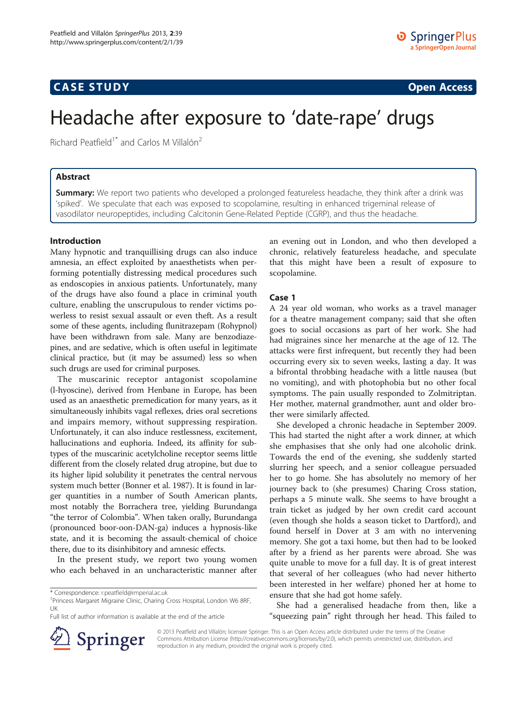## **CASE STUDY CASE STUDY Open Access**

# Headache after exposure to 'date-rape' drugs

Richard Peatfield<sup>1\*</sup> and Carlos M Villalón<sup>2</sup>

## Abstract

**Summary:** We report two patients who developed a prolonged featureless headache, they think after a drink was 'spiked'. We speculate that each was exposed to scopolamine, resulting in enhanced trigeminal release of vasodilator neuropeptides, including Calcitonin Gene-Related Peptide (CGRP), and thus the headache.

## Introduction

Many hypnotic and tranquillising drugs can also induce amnesia, an effect exploited by anaesthetists when performing potentially distressing medical procedures such as endoscopies in anxious patients. Unfortunately, many of the drugs have also found a place in criminal youth culture, enabling the unscrupulous to render victims powerless to resist sexual assault or even theft. As a result some of these agents, including flunitrazepam (Rohypnol) have been withdrawn from sale. Many are benzodiazepines, and are sedative, which is often useful in legitimate clinical practice, but (it may be assumed) less so when such drugs are used for criminal purposes.

The muscarinic receptor antagonist scopolamine (l-hyoscine), derived from Henbane in Europe, has been used as an anaesthetic premedication for many years, as it simultaneously inhibits vagal reflexes, dries oral secretions and impairs memory, without suppressing respiration. Unfortunately, it can also induce restlessness, excitement, hallucinations and euphoria. Indeed, its affinity for subtypes of the muscarinic acetylcholine receptor seems little different from the closely related drug atropine, but due to its higher lipid solubility it penetrates the central nervous system much better (Bonner et al. [1987](#page-2-0)). It is found in larger quantities in a number of South American plants, most notably the Borrachera tree, yielding Burundanga "the terror of Colombia". When taken orally, Burundanga (pronounced boor-oon-DAN-ga) induces a hypnosis-like state, and it is becoming the assault-chemical of choice there, due to its disinhibitory and amnesic effects.

In the present study, we report two young women who each behaved in an uncharacteristic manner after

Full list of author information is available at the end of the article



an evening out in London, and who then developed a chronic, relatively featureless headache, and speculate that this might have been a result of exposure to scopolamine.

### Case 1

A 24 year old woman, who works as a travel manager for a theatre management company; said that she often goes to social occasions as part of her work. She had had migraines since her menarche at the age of 12. The attacks were first infrequent, but recently they had been occurring every six to seven weeks, lasting a day. It was a bifrontal throbbing headache with a little nausea (but no vomiting), and with photophobia but no other focal symptoms. The pain usually responded to Zolmitriptan. Her mother, maternal grandmother, aunt and older brother were similarly affected.

She developed a chronic headache in September 2009. This had started the night after a work dinner, at which she emphasises that she only had one alcoholic drink. Towards the end of the evening, she suddenly started slurring her speech, and a senior colleague persuaded her to go home. She has absolutely no memory of her journey back to (she presumes) Charing Cross station, perhaps a 5 minute walk. She seems to have brought a train ticket as judged by her own credit card account (even though she holds a season ticket to Dartford), and found herself in Dover at 3 am with no intervening memory. She got a taxi home, but then had to be looked after by a friend as her parents were abroad. She was quite unable to move for a full day. It is of great interest that several of her colleagues (who had never hitherto been interested in her welfare) phoned her at home to ensure that she had got home safely.

She had a generalised headache from then, like a "squeezing pain" right through her head. This failed to

© 2013 Peatfield and Villalón; licensee Springer. This is an Open Access article distributed under the terms of the Creative Commons Attribution License (<http://creativecommons.org/licenses/by/2.0>), which permits unrestricted use, distribution, and reproduction in any medium, provided the original work is properly cited.

<sup>\*</sup> Correspondence: [r.peatfield@imperial.ac.uk](mailto:r.peatfield@imperial.ac.uk) <sup>1</sup>

<sup>&</sup>lt;sup>1</sup> Princess Margaret Migraine Clinic, Charing Cross Hospital, London W6 8RF, UK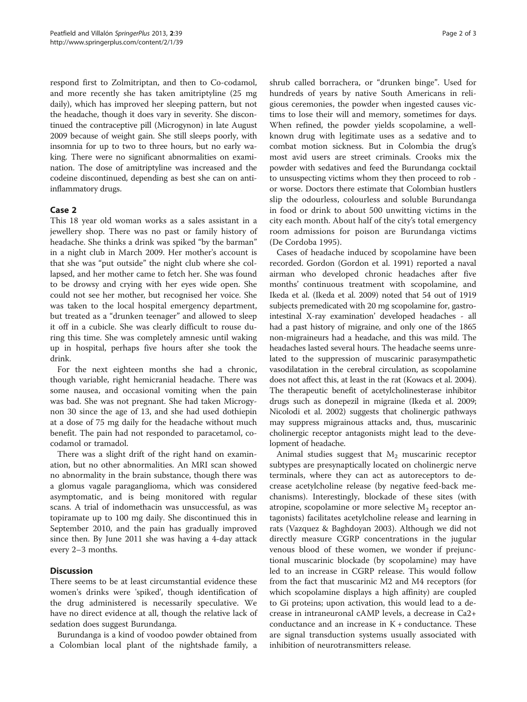respond first to Zolmitriptan, and then to Co-codamol, and more recently she has taken amitriptyline (25 mg daily), which has improved her sleeping pattern, but not the headache, though it does vary in severity. She discontinued the contraceptive pill (Microgynon) in late August 2009 because of weight gain. She still sleeps poorly, with insomnia for up to two to three hours, but no early waking. There were no significant abnormalities on examination. The dose of amitriptyline was increased and the codeine discontinued, depending as best she can on antiinflammatory drugs.

## Case 2

This 18 year old woman works as a sales assistant in a jewellery shop. There was no past or family history of headache. She thinks a drink was spiked "by the barman" in a night club in March 2009. Her mother's account is that she was "put outside" the night club where she collapsed, and her mother came to fetch her. She was found to be drowsy and crying with her eyes wide open. She could not see her mother, but recognised her voice. She was taken to the local hospital emergency department, but treated as a "drunken teenager" and allowed to sleep it off in a cubicle. She was clearly difficult to rouse during this time. She was completely amnesic until waking up in hospital, perhaps five hours after she took the drink.

For the next eighteen months she had a chronic, though variable, right hemicranial headache. There was some nausea, and occasional vomiting when the pain was bad. She was not pregnant. She had taken Microgynon 30 since the age of 13, and she had used dothiepin at a dose of 75 mg daily for the headache without much benefit. The pain had not responded to paracetamol, cocodamol or tramadol.

There was a slight drift of the right hand on examination, but no other abnormalities. An MRI scan showed no abnormality in the brain substance, though there was a glomus vagale paraganglioma, which was considered asymptomatic, and is being monitored with regular scans. A trial of indomethacin was unsuccessful, as was topiramate up to 100 mg daily. She discontinued this in September 2010, and the pain has gradually improved since then. By June 2011 she was having a 4-day attack every 2–3 months.

## **Discussion**

There seems to be at least circumstantial evidence these women's drinks were 'spiked', though identification of the drug administered is necessarily speculative. We have no direct evidence at all, though the relative lack of sedation does suggest Burundanga.

Burundanga is a kind of voodoo powder obtained from a Colombian local plant of the nightshade family, a

shrub called borrachera, or "drunken binge". Used for hundreds of years by native South Americans in religious ceremonies, the powder when ingested causes victims to lose their will and memory, sometimes for days. When refined, the powder yields scopolamine, a wellknown drug with legitimate uses as a sedative and to combat motion sickness. But in Colombia the drug's most avid users are street criminals. Crooks mix the powder with sedatives and feed the Burundanga cocktail to unsuspecting victims whom they then proceed to rob or worse. Doctors there estimate that Colombian hustlers slip the odourless, colourless and soluble Burundanga in food or drink to about 500 unwitting victims in the city each month. About half of the city's total emergency room admissions for poison are Burundanga victims (De Cordoba [1995\)](#page-2-0).

Cases of headache induced by scopolamine have been recorded. Gordon (Gordon et al. [1991](#page-2-0)) reported a naval airman who developed chronic headaches after five months' continuous treatment with scopolamine, and Ikeda et al. (Ikeda et al. [2009\)](#page-2-0) noted that 54 out of 1919 subjects premedicated with 20 mg scopolamine for, gastrointestinal X-ray examination' developed headaches - all had a past history of migraine, and only one of the 1865 non-migraineurs had a headache, and this was mild. The headaches lasted several hours. The headache seems unrelated to the suppression of muscarinic parasympathetic vasodilatation in the cerebral circulation, as scopolamine does not affect this, at least in the rat (Kowacs et al. [2004](#page-2-0)). The therapeutic benefit of acetylcholinesterase inhibitor drugs such as donepezil in migraine (Ikeda et al. [2009](#page-2-0); Nicolodi et al. [2002\)](#page-2-0) suggests that cholinergic pathways may suppress migrainous attacks and, thus, muscarinic cholinergic receptor antagonists might lead to the development of headache.

Animal studies suggest that  $M_2$  muscarinic receptor subtypes are presynaptically located on cholinergic nerve terminals, where they can act as autoreceptors to decrease acetylcholine release (by negative feed-back mechanisms). Interestingly, blockade of these sites (with atropine, scopolamine or more selective  $M_2$  receptor antagonists) facilitates acetylcholine release and learning in rats (Vazquez & Baghdoyan [2003\)](#page-2-0). Although we did not directly measure CGRP concentrations in the jugular venous blood of these women, we wonder if prejunctional muscarinic blockade (by scopolamine) may have led to an increase in CGRP release. This would follow from the fact that muscarinic M2 and M4 receptors (for which scopolamine displays a high affinity) are coupled to Gi proteins; upon activation, this would lead to a decrease in intraneuronal cAMP levels, a decrease in Ca2+ conductance and an increase in  $K$  + conductance. These are signal transduction systems usually associated with inhibition of neurotransmitters release.